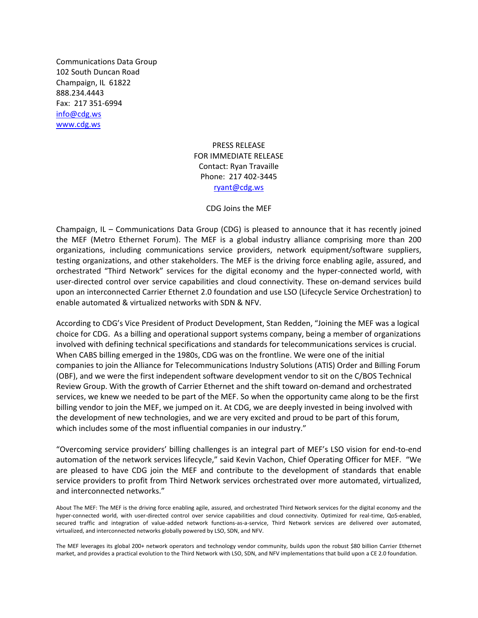Communications Data Group 102 South Duncan Road Champaign, IL 61822 888.234.4443 Fax: 217 351-6994 [info@cdg.ws](mailto:info@cdg.ws) [www.cdg.ws](http://www.cdg.ws/)

## PRESS RELEASE FOR IMMEDIATE RELEASE Contact: Ryan Travaille Phone: 217 402-3445 [ryant@cdg.ws](mailto:ryant@cdg.ws)

## CDG Joins the MEF

Champaign, IL – Communications Data Group (CDG) is pleased to announce that it has recently joined the MEF (Metro Ethernet Forum). The MEF is a global industry alliance comprising more than 200 organizations, including communications service providers, network equipment/software suppliers, testing organizations, and other stakeholders. The MEF is the driving force enabling agile, assured, and orchestrated "Third Network" services for the digital economy and the hyper-connected world, with user-directed control over service capabilities and cloud connectivity. These on-demand services build upon an interconnected Carrier Ethernet 2.0 foundation and use LSO (Lifecycle Service Orchestration) to enable automated & virtualized networks with SDN & NFV.

According to CDG's Vice President of Product Development, Stan Redden, "Joining the MEF was a logical choice for CDG. As a billing and operational support systems company, being a member of organizations involved with defining technical specifications and standards for telecommunications services is crucial. When CABS billing emerged in the 1980s, CDG was on the frontline. We were one of the initial companies to join the Alliance for Telecommunications Industry Solutions (ATIS) Order and Billing Forum (OBF), and we were the first independent software development vendor to sit on the C/BOS Technical Review Group. With the growth of Carrier Ethernet and the shift toward on-demand and orchestrated services, we knew we needed to be part of the MEF. So when the opportunity came along to be the first billing vendor to join the MEF, we jumped on it. At CDG, we are deeply invested in being involved with the development of new technologies, and we are very excited and proud to be part of this forum, which includes some of the most influential companies in our industry."

"Overcoming service providers' billing challenges is an integral part of MEF's LSO vision for end-to-end automation of the network services lifecycle," said Kevin Vachon, Chief Operating Officer for MEF. "We are pleased to have CDG join the MEF and contribute to the development of standards that enable service providers to profit from Third Network services orchestrated over more automated, virtualized, and interconnected networks."

About The MEF: The MEF is the driving force enabling agile, assured, and orchestrated Third Network services for the digital economy and the hyper-connected world, with user-directed control over service capabilities and cloud connectivity. Optimized for real-time, QoS-enabled, secured traffic and integration of value-added network functions-as-a-service, Third Network services are delivered over automated, virtualized, and interconnected networks globally powered by LSO, SDN, and NFV.

The MEF leverages its global 200+ network operators and technology vendor community, builds upon the robust \$80 billion Carrier Ethernet market, and provides a practical evolution to the Third Network with LSO, SDN, and NFV implementations that build upon a CE 2.0 foundation.